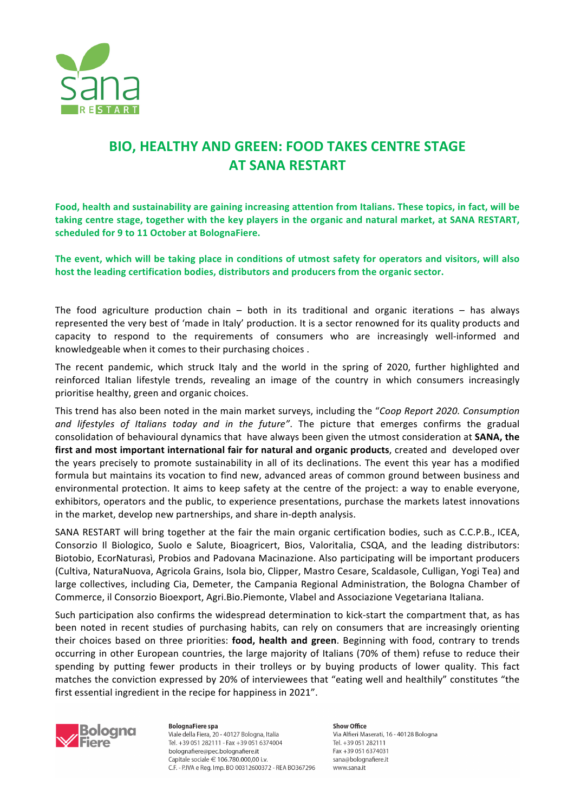

## **BIO, HEALTHY AND GREEN: FOOD TAKES CENTRE STAGE AT SANA RESTART**

Food, health and sustainability are gaining increasing attention from Italians. These topics, in fact, will be taking centre stage, together with the key players in the organic and natural market, at SANA RESTART, **scheduled for 9 to 11 October at BolognaFiere.**

The event, which will be taking place in conditions of utmost safety for operators and visitors, will also host the leading certification bodies, distributors and producers from the organic sector.

The food agriculture production chain – both in its traditional and organic iterations – has always represented the very best of 'made in Italy' production. It is a sector renowned for its quality products and capacity to respond to the requirements of consumers who are increasingly well-informed and knowledgeable when it comes to their purchasing choices.

The recent pandemic, which struck Italy and the world in the spring of 2020, further highlighted and reinforced Italian lifestyle trends, revealing an image of the country in which consumers increasingly prioritise healthy, green and organic choices.

This trend has also been noted in the main market surveys, including the "*Coop Report 2020. Consumption* and lifestyles of Italians today and in the future". The picture that emerges confirms the gradual consolidation of behavioural dynamics that have always been given the utmost consideration at **SANA, the** first and most important international fair for natural and organic products, created and developed over the years precisely to promote sustainability in all of its declinations. The event this year has a modified formula but maintains its vocation to find new, advanced areas of common ground between business and environmental protection. It aims to keep safety at the centre of the project: a way to enable everyone, exhibitors, operators and the public, to experience presentations, purchase the markets latest innovations in the market, develop new partnerships, and share in-depth analysis.

SANA RESTART will bring together at the fair the main organic certification bodies, such as C.C.P.B., ICEA, Consorzio Il Biologico, Suolo e Salute, Bioagricert, Bios, Valoritalia, CSQA, and the leading distributors: Biotobio, EcorNaturasì, Probios and Padovana Macinazione. Also participating will be important producers (Cultiva, NaturaNuova, Agricola Grains, Isola bio, Clipper, Mastro Cesare, Scaldasole, Culligan, Yogi Tea) and large collectives, including Cia, Demeter, the Campania Regional Administration, the Bologna Chamber of Commerce, il Consorzio Bioexport, Agri.Bio.Piemonte, Vlabel and Associazione Vegetariana Italiana.

Such participation also confirms the widespread determination to kick-start the compartment that, as has been noted in recent studies of purchasing habits, can rely on consumers that are increasingly orienting their choices based on three priorities: **food, health and green**. Beginning with food, contrary to trends occurring in other European countries, the large majority of Italians (70% of them) refuse to reduce their spending by putting fewer products in their trolleys or by buying products of lower quality. This fact matches the conviction expressed by 20% of interviewees that "eating well and healthily" constitutes "the first essential ingredient in the recipe for happiness in 2021".



**BolognaFiere** spa Viale della Fiera, 20 - 40127 Bologna, Italia Tel. +39 051 282111 - Fax +39 051 6374004 bolognafiere@pec.bolognafiere.it Capitale sociale € 106.780.000,00 i.v. C.F. - P.IVA e Reg. Imp. BO 00312600372 - REA BO367296 Show Office Via Alfieri Maserati, 16 - 40128 Bologna Tel. +39 051 282111 Fax +39 051 6374031 sana@bolognafiere.it www.sana.it